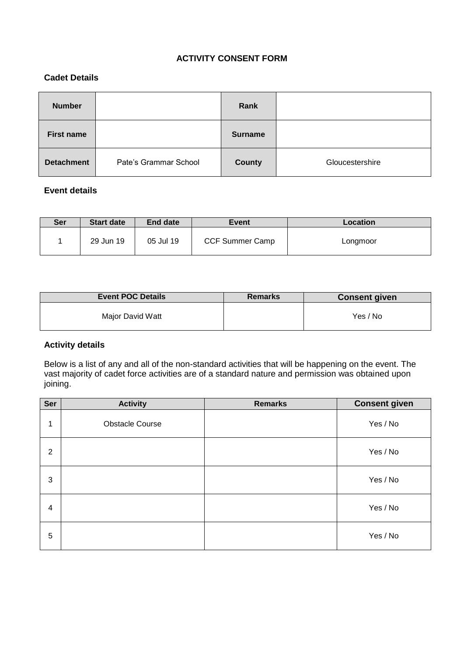# **ACTIVITY CONSENT FORM**

### **Cadet Details**

| <b>Number</b>     |                       | Rank          |                 |
|-------------------|-----------------------|---------------|-----------------|
| <b>First name</b> |                       | Surname       |                 |
| <b>Detachment</b> | Pate's Grammar School | <b>County</b> | Gloucestershire |

# **Event details**

| <b>Ser</b> | <b>Start date</b> | End date  | <b>Event</b>           | <b>Location</b> |
|------------|-------------------|-----------|------------------------|-----------------|
|            | 29 Jun 19         | 05 Jul 19 | <b>CCF Summer Camp</b> | Longmoor        |

| <b>Event POC Details</b> | <b>Remarks</b> | <b>Consent given</b> |
|--------------------------|----------------|----------------------|
| Major David Watt         |                | Yes / No             |

### **Activity details**

Below is a list of any and all of the non-standard activities that will be happening on the event. The vast majority of cadet force activities are of a standard nature and permission was obtained upon joining.

| Ser            | <b>Activity</b>        | <b>Remarks</b> | <b>Consent given</b> |
|----------------|------------------------|----------------|----------------------|
| 1              | <b>Obstacle Course</b> |                | Yes / No             |
| 2              |                        |                | Yes / No             |
| 3              |                        |                | Yes / No             |
| $\overline{4}$ |                        |                | Yes / No             |
| 5              |                        |                | Yes / No             |